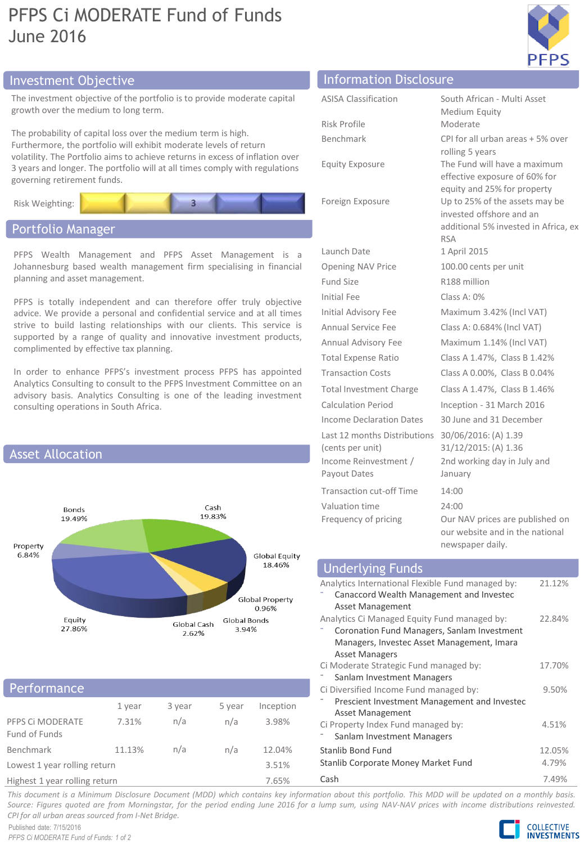# PFPS Ci MODERATE Fund of Funds June 2016



# Investment Objective Information Disclosure

The investment objective of the portfolio is to provide moderate capital growth over the medium to long term.

The probability of capital loss over the medium term is high. Furthermore, the portfolio will exhibit moderate levels of return volatility. The Portfolio aims to achieve returns in excess of inflation over 3 years and longer. The portfolio will at all times comply with regulations governing retirement funds.



# Portfolio Manager

PFPS Wealth Management and PFPS Asset Management is a Johannesburg based wealth management firm specialising in financial planning and asset management.

PFPS is totally independent and can therefore offer truly objective advice. We provide a personal and confidential service and at all times strive to build lasting relationships with our clients. This service is supported by a range of quality and innovative investment products, complimented by effective tax planning.

In order to enhance PFPS's investment process PFPS has appointed Analytics Consulting to consult to the PFPS Investment Committee on an advisory basis. Analytics Consulting is one of the leading investment consulting operations in South Africa.



# Performance

|                                   | 1 year | 3 year | 5 year | Inception |  |
|-----------------------------------|--------|--------|--------|-----------|--|
| PFPS CI MODERATE<br>Fund of Funds | 7.31%  | n/a    | n/a    | 3.98%     |  |
| Benchmark                         | 11.13% | n/a    | n/a    | 12.04%    |  |
| Lowest 1 year rolling return      |        |        |        | 3.51%     |  |
| Highest 1 year rolling return     |        |        |        | 7.65%     |  |

| <b>ASISA Classification</b>                      | South African - Multi Asset<br>Medium Equity                                                                     |  |  |
|--------------------------------------------------|------------------------------------------------------------------------------------------------------------------|--|--|
| Risk Profile                                     | Moderate                                                                                                         |  |  |
| Benchmark                                        | CPI for all urban areas + 5% over<br>rolling 5 years                                                             |  |  |
| <b>Equity Exposure</b>                           | The Fund will have a maximum<br>effective exposure of 60% for<br>equity and 25% for property                     |  |  |
| Foreign Exposure                                 | Up to 25% of the assets may be<br>invested offshore and an<br>additional 5% invested in Africa, ex<br><b>RSA</b> |  |  |
| Launch Date                                      | 1 April 2015                                                                                                     |  |  |
| <b>Opening NAV Price</b>                         | 100.00 cents per unit                                                                                            |  |  |
| Fund Size                                        | R188 million                                                                                                     |  |  |
| Initial Fee                                      | Class A: $0\%$                                                                                                   |  |  |
| Initial Advisory Fee                             | Maximum 3.42% (Incl VAT)                                                                                         |  |  |
| <b>Annual Service Fee</b>                        | Class A: 0.684% (Incl VAT)                                                                                       |  |  |
| Annual Advisory Fee                              | Maximum 1.14% (Incl VAT)                                                                                         |  |  |
| <b>Total Expense Ratio</b>                       | Class A 1.47%, Class B 1.42%                                                                                     |  |  |
| <b>Transaction Costs</b>                         | Class A 0.00%, Class B 0.04%                                                                                     |  |  |
| <b>Total Investment Charge</b>                   | Class A 1.47%, Class B 1.46%                                                                                     |  |  |
| Calculation Period                               | Inception - 31 March 2016                                                                                        |  |  |
| Income Declaration Dates                         | 30 June and 31 December                                                                                          |  |  |
| Last 12 months Distributions<br>(cents per unit) | 30/06/2016: (A) 1.39<br>31/12/2015: (A) 1.36                                                                     |  |  |
| Income Reinvestment /<br>Payout Dates            | 2nd working day in July and<br>January                                                                           |  |  |
| <b>Transaction cut-off Time</b>                  | 14:00                                                                                                            |  |  |
| Valuation time                                   | 24:00                                                                                                            |  |  |
| Frequency of pricing                             | Our NAV prices are published on<br>our website and in the national<br>newspaper daily.                           |  |  |

#### Analytics International Flexible Fund managed by: ⁻ Canaccord Wealth Management and Investec Asset Management 21.12% Analytics Ci Managed Equity Fund managed by: ⁻ Coronation Fund Managers, Sanlam Investment Managers, Investec Asset Management, Imara Asset Managers 22.84% Ci Moderate Strategic Fund managed by: Sanlam Investment Managers 17.70% Ci Diversified Income Fund managed by: ⁻ Prescient Investment Management and Investec Asset Management 9.50% Ci Property Index Fund managed by: Sanlam Investment Managers 4.51% Stanlib Bond Fund 12.05% Stanlib Corporate Money Market Fund 4.79% Underlying Funds

Cash 7.49%

This document is a Minimum Disclosure Document (MDD) which contains key information about this portfolio. This MDD will be updated on a monthly basis. Source: Figures quoted are from Morningstar, for the period ending June 2016 for a lump sum, using NAV-NAV prices with income distributions reinvested. *CPI for all urban areas sourced from I-Net Bridge.*

Published date: 7/15/2016 *PFPS Ci MODERATE Fund of Funds: 1 of 2*